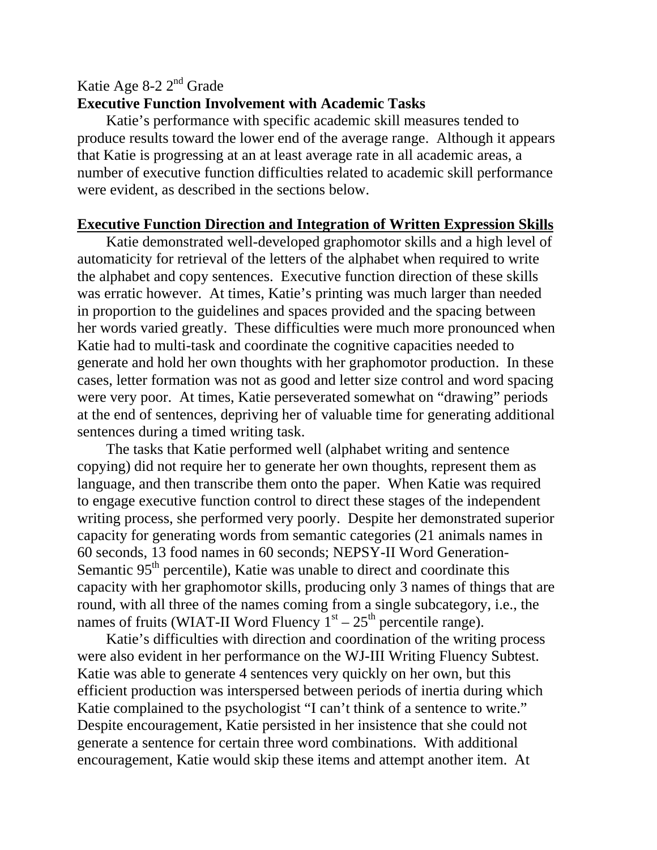## Katie Age 8-2 2nd Grade

## **Executive Function Involvement with Academic Tasks**

 Katie's performance with specific academic skill measures tended to produce results toward the lower end of the average range. Although it appears that Katie is progressing at an at least average rate in all academic areas, a number of executive function difficulties related to academic skill performance were evident, as described in the sections below.

## **Executive Function Direction and Integration of Written Expression Skills**

 Katie demonstrated well-developed graphomotor skills and a high level of automaticity for retrieval of the letters of the alphabet when required to write the alphabet and copy sentences. Executive function direction of these skills was erratic however. At times, Katie's printing was much larger than needed in proportion to the guidelines and spaces provided and the spacing between her words varied greatly. These difficulties were much more pronounced when Katie had to multi-task and coordinate the cognitive capacities needed to generate and hold her own thoughts with her graphomotor production. In these cases, letter formation was not as good and letter size control and word spacing were very poor. At times, Katie perseverated somewhat on "drawing" periods at the end of sentences, depriving her of valuable time for generating additional sentences during a timed writing task.

 The tasks that Katie performed well (alphabet writing and sentence copying) did not require her to generate her own thoughts, represent them as language, and then transcribe them onto the paper. When Katie was required to engage executive function control to direct these stages of the independent writing process, she performed very poorly. Despite her demonstrated superior capacity for generating words from semantic categories (21 animals names in 60 seconds, 13 food names in 60 seconds; NEPSY-II Word Generation-Semantic  $95<sup>th</sup>$  percentile), Katie was unable to direct and coordinate this capacity with her graphomotor skills, producing only 3 names of things that are round, with all three of the names coming from a single subcategory, i.e., the names of fruits (WIAT-II Word Fluency  $1<sup>st</sup> - 25<sup>th</sup>$  percentile range).

 Katie's difficulties with direction and coordination of the writing process were also evident in her performance on the WJ-III Writing Fluency Subtest. Katie was able to generate 4 sentences very quickly on her own, but this efficient production was interspersed between periods of inertia during which Katie complained to the psychologist "I can't think of a sentence to write." Despite encouragement, Katie persisted in her insistence that she could not generate a sentence for certain three word combinations. With additional encouragement, Katie would skip these items and attempt another item. At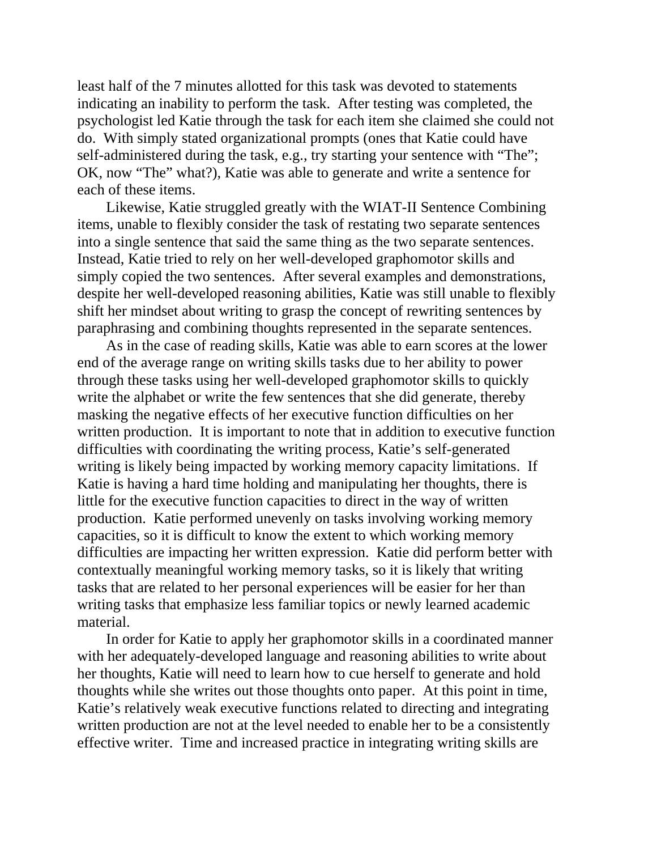least half of the 7 minutes allotted for this task was devoted to statements indicating an inability to perform the task. After testing was completed, the psychologist led Katie through the task for each item she claimed she could not do. With simply stated organizational prompts (ones that Katie could have self-administered during the task, e.g., try starting your sentence with "The"; OK, now "The" what?), Katie was able to generate and write a sentence for each of these items.

 Likewise, Katie struggled greatly with the WIAT-II Sentence Combining items, unable to flexibly consider the task of restating two separate sentences into a single sentence that said the same thing as the two separate sentences. Instead, Katie tried to rely on her well-developed graphomotor skills and simply copied the two sentences. After several examples and demonstrations, despite her well-developed reasoning abilities, Katie was still unable to flexibly shift her mindset about writing to grasp the concept of rewriting sentences by paraphrasing and combining thoughts represented in the separate sentences.

 As in the case of reading skills, Katie was able to earn scores at the lower end of the average range on writing skills tasks due to her ability to power through these tasks using her well-developed graphomotor skills to quickly write the alphabet or write the few sentences that she did generate, thereby masking the negative effects of her executive function difficulties on her written production. It is important to note that in addition to executive function difficulties with coordinating the writing process, Katie's self-generated writing is likely being impacted by working memory capacity limitations. If Katie is having a hard time holding and manipulating her thoughts, there is little for the executive function capacities to direct in the way of written production. Katie performed unevenly on tasks involving working memory capacities, so it is difficult to know the extent to which working memory difficulties are impacting her written expression. Katie did perform better with contextually meaningful working memory tasks, so it is likely that writing tasks that are related to her personal experiences will be easier for her than writing tasks that emphasize less familiar topics or newly learned academic material.

 In order for Katie to apply her graphomotor skills in a coordinated manner with her adequately-developed language and reasoning abilities to write about her thoughts, Katie will need to learn how to cue herself to generate and hold thoughts while she writes out those thoughts onto paper. At this point in time, Katie's relatively weak executive functions related to directing and integrating written production are not at the level needed to enable her to be a consistently effective writer. Time and increased practice in integrating writing skills are